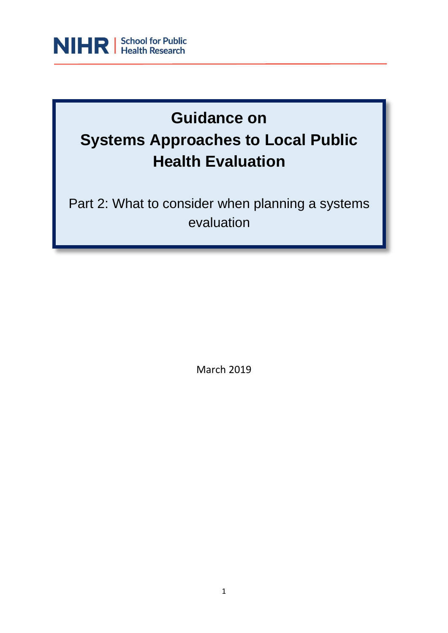

## **Guidance on Systems Approaches to Local Public Health Evaluation**

Part 2: What to consider when planning a systems evaluation

March 2019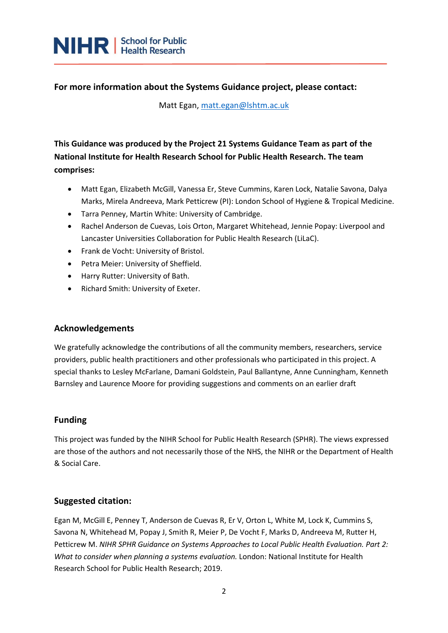

#### **For more information about the Systems Guidance project, please contact:**

Matt Egan, [matt.egan@lshtm.ac.uk](mailto:matt.egan@lshtm.ac.uk)

**This Guidance was produced by the Project 21 Systems Guidance Team as part of the National Institute for Health Research School for Public Health Research. The team comprises:**

- Matt Egan, Elizabeth McGill, Vanessa Er, Steve Cummins, Karen Lock, Natalie Savona, Dalya Marks, Mirela Andreeva, Mark Petticrew (PI): London School of Hygiene & Tropical Medicine.
- Tarra Penney, Martin White: University of Cambridge.
- Rachel Anderson de Cuevas, Lois Orton, Margaret Whitehead, Jennie Popay: Liverpool and Lancaster Universities Collaboration for Public Health Research (LiLaC).
- Frank de Vocht: University of Bristol.
- Petra Meier: University of Sheffield.
- Harry Rutter: University of Bath.
- Richard Smith: University of Exeter.

#### **Acknowledgements**

We gratefully acknowledge the contributions of all the community members, researchers, service providers, public health practitioners and other professionals who participated in this project. A special thanks to Lesley McFarlane, Damani Goldstein, Paul Ballantyne, Anne Cunningham, Kenneth Barnsley and Laurence Moore for providing suggestions and comments on an earlier draft

#### **Funding**

This project was funded by the NIHR School for Public Health Research (SPHR). The views expressed are those of the authors and not necessarily those of the NHS, the NIHR or the Department of Health & Social Care.

#### **Suggested citation:**

Egan M, McGill E, Penney T, Anderson de Cuevas R, Er V, Orton L, White M, Lock K, Cummins S, Savona N, Whitehead M, Popay J, Smith R, Meier P, De Vocht F, Marks D, Andreeva M, Rutter H, Petticrew M. *NIHR SPHR Guidance on Systems Approaches to Local Public Health Evaluation. Part 2: What to consider when planning a systems evaluation.* London: National Institute for Health Research School for Public Health Research; 2019.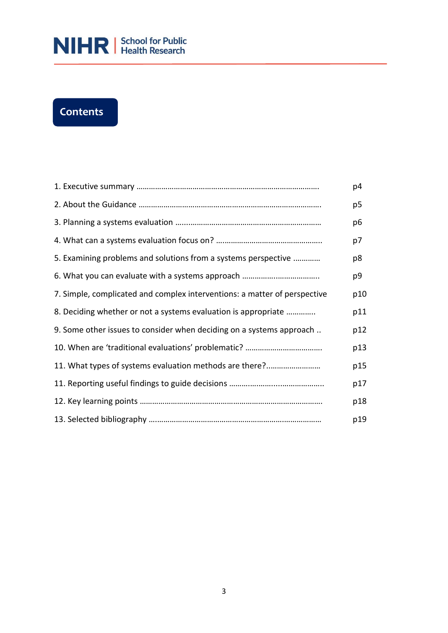

## **Contents**

|                                                                           | p4  |
|---------------------------------------------------------------------------|-----|
|                                                                           | p5  |
|                                                                           | p6  |
|                                                                           | p7  |
| 5. Examining problems and solutions from a systems perspective            | p8  |
|                                                                           | p9  |
| 7. Simple, complicated and complex interventions: a matter of perspective | p10 |
| 8. Deciding whether or not a systems evaluation is appropriate            | p11 |
| 9. Some other issues to consider when deciding on a systems approach      | p12 |
|                                                                           | p13 |
| 11. What types of systems evaluation methods are there?                   | p15 |
|                                                                           | p17 |
|                                                                           | p18 |
|                                                                           | p19 |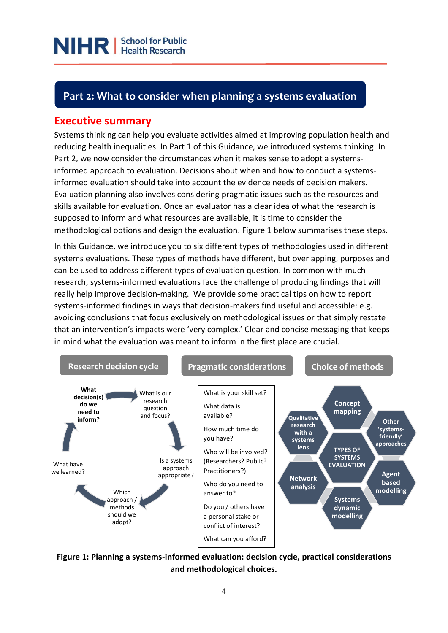

## **Part 2: What to consider when planning a systems evaluation**

#### **Executive summary**

Systems thinking can help you evaluate activities aimed at improving population health and reducing health inequalities. In Part 1 of this Guidance, we introduced systems thinking. In Part 2, we now consider the circumstances when it makes sense to adopt a systemsinformed approach to evaluation. Decisions about when and how to conduct a systemsinformed evaluation should take into account the evidence needs of decision makers. Evaluation planning also involves considering pragmatic issues such as the resources and skills available for evaluation. Once an evaluator has a clear idea of what the research is supposed to inform and what resources are available, it is time to consider the methodological options and design the evaluation. Figure 1 below summarises these steps.

In this Guidance, we introduce you to six different types of methodologies used in different systems evaluations. These types of methods have different, but overlapping, purposes and can be used to address different types of evaluation question. In common with much research, systems-informed evaluations face the challenge of producing findings that will really help improve decision-making. We provide some practical tips on how to report systems-informed findings in ways that decision-makers find useful and accessible: e.g. avoiding conclusions that focus exclusively on methodological issues or that simply restate that an intervention's impacts were 'very complex.' Clear and concise messaging that keeps in mind what the evaluation was meant to inform in the first place are crucial.



**Figure 1: Planning a systems-informed evaluation: decision cycle, practical considerations and methodological choices.**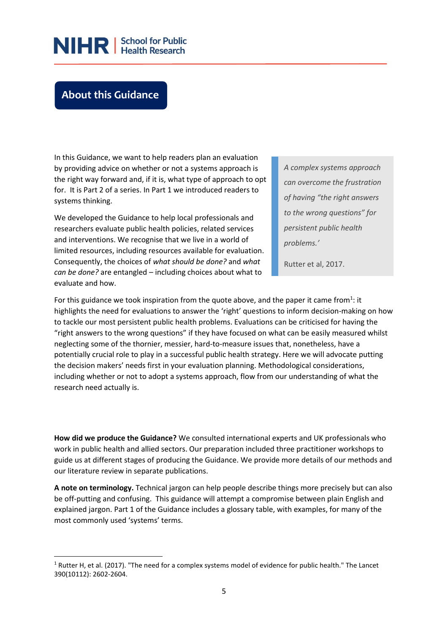

### **About this Guidance**

**.** 

In this Guidance, we want to help readers plan an evaluation by providing advice on whether or not a systems approach is the right way forward and, if it is, what type of approach to opt for. It is Part 2 of a series. In Part 1 we introduced readers to systems thinking.

We developed the Guidance to help local professionals and researchers evaluate public health policies, related services and interventions. We recognise that we live in a world of limited resources, including resources available for evaluation. Consequently, the choices of *what should be done?* and *what can be done?* are entangled – including choices about what to evaluate and how.

*A complex systems approach can overcome the frustration of having "the right answers to the wrong questions" for persistent public health problems.'* 

Rutter et al, 2017.

For this guidance we took inspiration from the quote above, and the paper it came from<sup>1</sup>: it highlights the need for evaluations to answer the 'right' questions to inform decision-making on how to tackle our most persistent public health problems. Evaluations can be criticised for having the "right answers to the wrong questions" if they have focused on what can be easily measured whilst neglecting some of the thornier, messier, hard-to-measure issues that, nonetheless, have a potentially crucial role to play in a successful public health strategy. Here we will advocate putting the decision makers' needs first in your evaluation planning. Methodological considerations, including whether or not to adopt a systems approach, flow from our understanding of what the research need actually is.

**How did we produce the Guidance?** We consulted international experts and UK professionals who work in public health and allied sectors. Our preparation included three practitioner workshops to guide us at different stages of producing the Guidance. We provide more details of our methods and our literature review in separate publications.

**A note on terminology.** Technical jargon can help people describe things more precisely but can also be off-putting and confusing. This guidance will attempt a compromise between plain English and explained jargon. Part 1 of the Guidance includes a glossary table, with examples, for many of the most commonly used 'systems' terms.

 $1$  Rutter H, et al. (2017). "The need for a complex systems model of evidence for public health." The Lancet 390(10112): 2602-2604.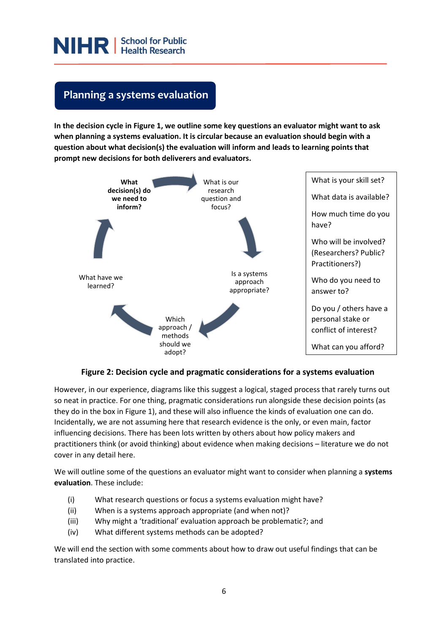

## **Planning a systems evaluation**

**In the decision cycle in Figure 1, we outline some key questions an evaluator might want to ask when planning a systems evaluation. It is circular because an evaluation should begin with a question about what decision(s) the evaluation will inform and leads to learning points that prompt new decisions for both deliverers and evaluators.**



#### **Figure 2: Decision cycle and pragmatic considerations for a systems evaluation**

However, in our experience, diagrams like this suggest a logical, staged process that rarely turns out so neat in practice. For one thing, pragmatic considerations run alongside these decision points (as they do in the box in Figure 1), and these will also influence the kinds of evaluation one can do. Incidentally, we are not assuming here that research evidence is the only, or even main, factor influencing decisions. There has been lots written by others about how policy makers and practitioners think (or avoid thinking) about evidence when making decisions – literature we do not cover in any detail here.

We will outline some of the questions an evaluator might want to consider when planning a **systems evaluation**. These include:

- (i) What research questions or focus a systems evaluation might have?
- (ii) When is a systems approach appropriate (and when not)?
- (iii) Why might a 'traditional' evaluation approach be problematic?; and
- (iv) What different systems methods can be adopted?

We will end the section with some comments about how to draw out useful findings that can be translated into practice.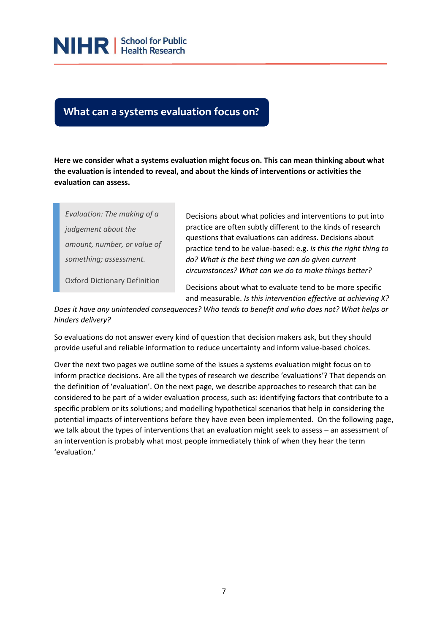

## **What can a systems evaluation focus on?**

**Here we consider what a systems evaluation might focus on. This can mean thinking about what the evaluation is intended to reveal, and about the kinds of interventions or activities the evaluation can assess.**

*Evaluation: The making of a judgement about the amount, number, or value of something; assessment.*

Oxford Dictionary Definition

Decisions about what policies and interventions to put into practice are often subtly different to the kinds of research questions that evaluations can address. Decisions about practice tend to be value-based: e.g. *Is this the right thing to do? What is the best thing we can do given current circumstances? What can we do to make things better?*

Decisions about what to evaluate tend to be more specific and measurable. *Is this intervention effective at achieving X?* 

*Does it have any unintended consequences? Who tends to benefit and who does not? What helps or hinders delivery?*

So evaluations do not answer every kind of question that decision makers ask, but they should provide useful and reliable information to reduce uncertainty and inform value-based choices.

Over the next two pages we outline some of the issues a systems evaluation might focus on to inform practice decisions. Are all the types of research we describe 'evaluations'? That depends on the definition of 'evaluation'. On the next page, we describe approaches to research that can be considered to be part of a wider evaluation process, such as: identifying factors that contribute to a specific problem or its solutions; and modelling hypothetical scenarios that help in considering the potential impacts of interventions before they have even been implemented. On the following page, we talk about the types of interventions that an evaluation might seek to assess – an assessment of an intervention is probably what most people immediately think of when they hear the term 'evaluation.'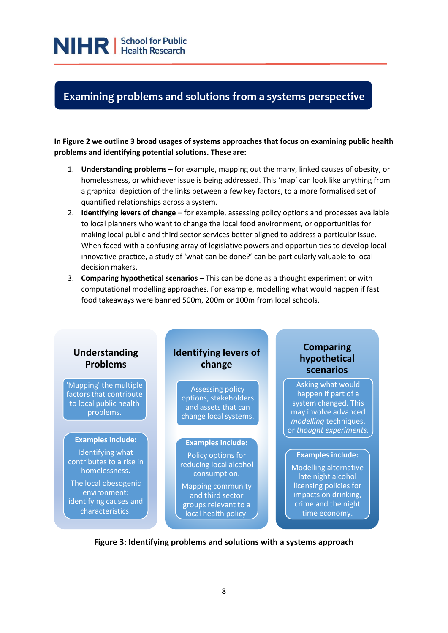

## **Examining problems and solutions from a systems perspective**

#### **In Figure 2 we outline 3 broad usages of systems approaches that focus on examining public health problems and identifying potential solutions. These are:**

- 1. **Understanding problems** for example, mapping out the many, linked causes of obesity, or homelessness, or whichever issue is being addressed. This 'map' can look like anything from a graphical depiction of the links between a few key factors, to a more formalised set of quantified relationships across a system.
- 2. **Identifying levers of change** for example, assessing policy options and processes available to local planners who want to change the local food environment, or opportunities for making local public and third sector services better aligned to address a particular issue. When faced with a confusing array of legislative powers and opportunities to develop local innovative practice, a study of 'what can be done?' can be particularly valuable to local decision makers.
- 3. **Comparing hypothetical scenarios** This can be done as a thought experiment or with computational modelling approaches. For example, modelling what would happen if fast food takeaways were banned 500m, 200m or 100m from local schools.



**Figure 3: Identifying problems and solutions with a systems approach**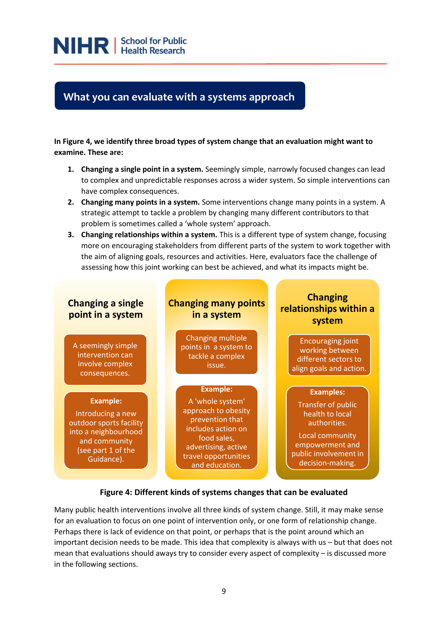

### **What you can evaluate with a systems approach**

#### **In Figure 4, we identify three broad types of system change that an evaluation might want to examine. These are:**

- **1. Changing a single point in a system.** Seemingly simple, narrowly focused changes can lead to complex and unpredictable responses across a wider system. So simple interventions can have complex consequences.
- **2. Changing many points in a system.** Some interventions change many points in a system. A strategic attempt to tackle a problem by changing many different contributors to that problem is sometimes called a 'whole system' approach.
- **3. Changing relationships within a system.** This is a different type of system change, focusing more on encouraging stakeholders from different parts of the system to work together with the aim of aligning goals, resources and activities. Here, evaluators face the challenge of assessing how this joint working can best be achieved, and what its impacts might be.



#### **Figure 4: Different kinds of systems changes that can be evaluated**

Many public health interventions involve all three kinds of system change. Still, it may make sense for an evaluation to focus on one point of intervention only, or one form of relationship change. Perhaps there is lack of evidence on that point, or perhaps that is the point around which an important decision needs to be made. This idea that complexity is always with us – but that does not mean that evaluations should aways try to consider every aspect of complexity – is discussed more in the following sections.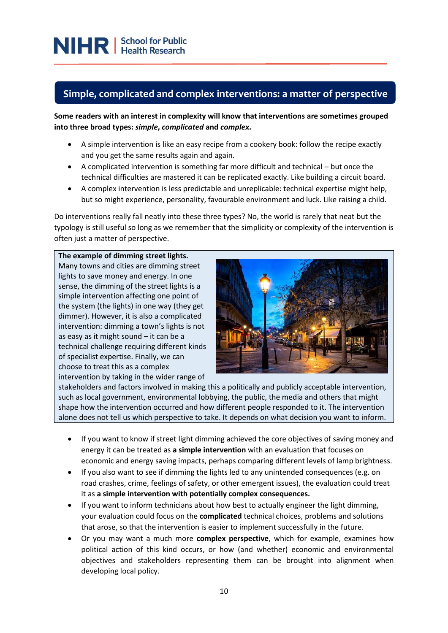

## **Simple, complicated and complex interventions: a matter of perspective**

**Some readers with an interest in complexity will know that interventions are sometimes grouped into three broad types:** *simple***,** *complicated* **and** *complex***.**

- A simple intervention is like an easy recipe from a cookery book: follow the recipe exactly and you get the same results again and again.
- A complicated intervention is something far more difficult and technical but once the technical difficulties are mastered it can be replicated exactly. Like building a circuit board.
- A complex intervention is less predictable and unreplicable: technical expertise might help, but so might experience, personality, favourable environment and luck. Like raising a child.

Do interventions really fall neatly into these three types? No, the world is rarely that neat but the typology is still useful so long as we remember that the simplicity or complexity of the intervention is often just a matter of perspective.

#### **The example of dimming street lights.**

Many towns and cities are dimming street lights to save money and energy. In one sense, the dimming of the street lights is a simple intervention affecting one point of the system (the lights) in one way (they get dimmer). However, it is also a complicated intervention: dimming a town's lights is not as easy as it might sound – it can be a technical challenge requiring different kinds of specialist expertise. Finally, we can choose to treat this as a complex intervention by taking in the wider range of



stakeholders and factors involved in making this a politically and publicly acceptable intervention, such as local government, environmental lobbying, the public, the media and others that might shape how the intervention occurred and how different people responded to it. The intervention alone does not tell us which perspective to take. It depends on what decision you want to inform.

- If you want to know if street light dimming achieved the core objectives of saving money and energy it can be treated as **a simple intervention** with an evaluation that focuses on economic and energy saving impacts, perhaps comparing different levels of lamp brightness.
- If you also want to see if dimming the lights led to any unintended consequences (e.g. on road crashes, crime, feelings of safety, or other emergent issues), the evaluation could treat it as **a simple intervention with potentially complex consequences.**
- If you want to inform technicians about how best to actually engineer the light dimming, your evaluation could focus on the **complicated** technical choices, problems and solutions that arose, so that the intervention is easier to implement successfully in the future.
- Or you may want a much more **complex perspective**, which for example, examines how political action of this kind occurs, or how (and whether) economic and environmental objectives and stakeholders representing them can be brought into alignment when developing local policy.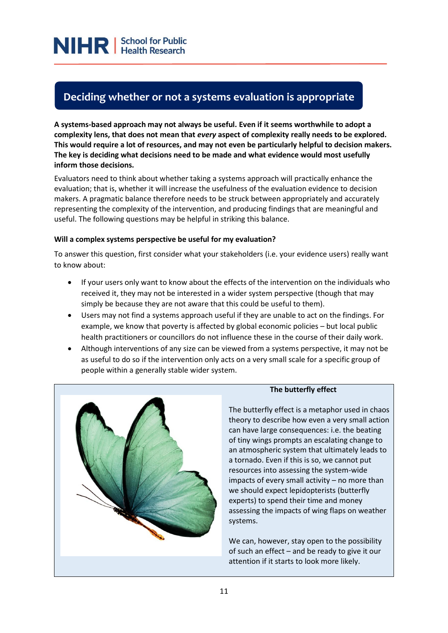

## **Deciding whether or not a systems evaluation is appropriate**

**A systems-based approach may not always be useful. Even if it seems worthwhile to adopt a complexity lens, that does not mean that** *every* **aspect of complexity really needs to be explored. This would require a lot of resources, and may not even be particularly helpful to decision makers. The key is deciding what decisions need to be made and what evidence would most usefully inform those decisions.**

Evaluators need to think about whether taking a systems approach will practically enhance the evaluation; that is, whether it will increase the usefulness of the evaluation evidence to decision makers. A pragmatic balance therefore needs to be struck between appropriately and accurately representing the complexity of the intervention, and producing findings that are meaningful and useful. The following questions may be helpful in striking this balance.

#### **Will a complex systems perspective be useful for my evaluation?**

To answer this question, first consider what your stakeholders (i.e. your evidence users) really want to know about:

- If your users only want to know about the effects of the intervention on the individuals who received it, they may not be interested in a wider system perspective (though that may simply be because they are not aware that this could be useful to them).
- Users may not find a systems approach useful if they are unable to act on the findings. For example, we know that poverty is affected by global economic policies – but local public health practitioners or councillors do not influence these in the course of their daily work.
- Although interventions of any size can be viewed from a systems perspective, it may not be as useful to do so if the intervention only acts on a very small scale for a specific group of people within a generally stable wider system.



#### **The butterfly effect**

The butterfly effect is a metaphor used in chaos theory to describe how even a very small action can have large consequences: i.e. the beating of tiny wings prompts an escalating change to an atmospheric system that ultimately leads to a tornado. Even if this is so, we cannot put resources into assessing the system-wide impacts of every small activity – no more than we should expect lepidopterists (butterfly experts) to spend their time and money assessing the impacts of wing flaps on weather systems.

We can, however, stay open to the possibility of such an effect – and be ready to give it our attention if it starts to look more likely.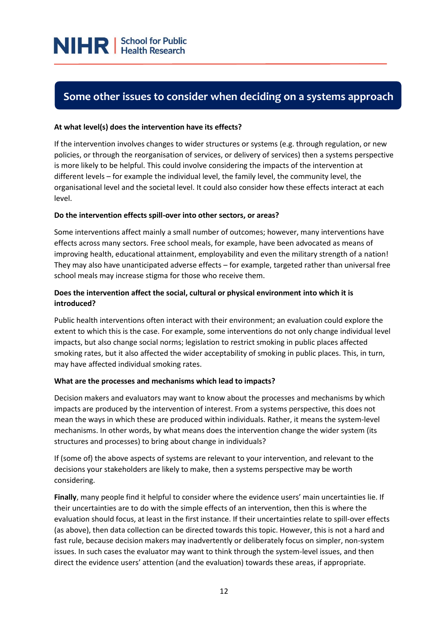

## **Some other issues to consider when deciding on a systems approach**

#### **At what level(s) does the intervention have its effects?**

If the intervention involves changes to wider structures or systems (e.g. through regulation, or new policies, or through the reorganisation of services, or delivery of services) then a systems perspective is more likely to be helpful. This could involve considering the impacts of the intervention at different levels – for example the individual level, the family level, the community level, the organisational level and the societal level. It could also consider how these effects interact at each level.

#### **Do the intervention effects spill-over into other sectors, or areas?**

Some interventions affect mainly a small number of outcomes; however, many interventions have effects across many sectors. Free school meals, for example, have been advocated as means of improving health, educational attainment, employability and even the military strength of a nation! They may also have unanticipated adverse effects – for example, targeted rather than universal free school meals may increase stigma for those who receive them.

#### **Does the intervention affect the social, cultural or physical environment into which it is introduced?**

Public health interventions often interact with their environment; an evaluation could explore the extent to which this is the case. For example, some interventions do not only change individual level impacts, but also change social norms; legislation to restrict smoking in public places affected smoking rates, but it also affected the wider acceptability of smoking in public places. This, in turn, may have affected individual smoking rates.

#### **What are the processes and mechanisms which lead to impacts?**

Decision makers and evaluators may want to know about the processes and mechanisms by which impacts are produced by the intervention of interest. From a systems perspective, this does not mean the ways in which these are produced within individuals. Rather, it means the system-level mechanisms. In other words, by what means does the intervention change the wider system (its structures and processes) to bring about change in individuals?

If (some of) the above aspects of systems are relevant to your intervention, and relevant to the decisions your stakeholders are likely to make, then a systems perspective may be worth considering.

**Finally**, many people find it helpful to consider where the evidence users' main uncertainties lie. If their uncertainties are to do with the simple effects of an intervention, then this is where the evaluation should focus, at least in the first instance. If their uncertainties relate to spill-over effects (as above), then data collection can be directed towards this topic. However, this is not a hard and fast rule, because decision makers may inadvertently or deliberately focus on simpler, non-system issues. In such cases the evaluator may want to think through the system-level issues, and then direct the evidence users' attention (and the evaluation) towards these areas, if appropriate.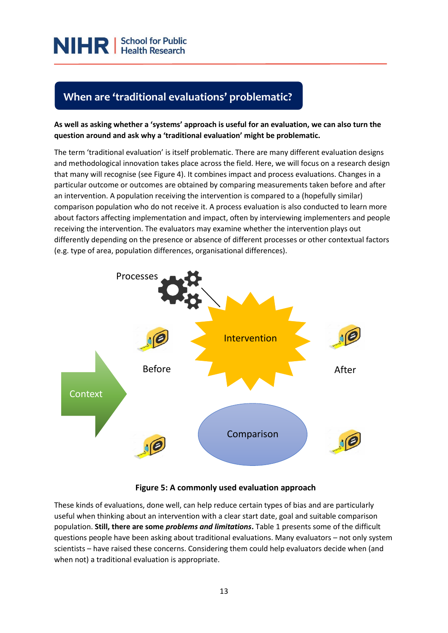

## **When are 'traditional evaluations' problematic?**

#### **As well as asking whether a 'systems' approach is useful for an evaluation, we can also turn the question around and ask why a 'traditional evaluation' might be problematic.**

The term 'traditional evaluation' is itself problematic. There are many different evaluation designs and methodological innovation takes place across the field. Here, we will focus on a research design that many will recognise (see Figure 4). It combines impact and process evaluations. Changes in a particular outcome or outcomes are obtained by comparing measurements taken before and after an intervention. A population receiving the intervention is compared to a (hopefully similar) comparison population who do not receive it. A process evaluation is also conducted to learn more about factors affecting implementation and impact, often by interviewing implementers and people receiving the intervention. The evaluators may examine whether the intervention plays out differently depending on the presence or absence of different processes or other contextual factors (e.g. type of area, population differences, organisational differences).



#### **Figure 5: A commonly used evaluation approach**

These kinds of evaluations, done well, can help reduce certain types of bias and are particularly useful when thinking about an intervention with a clear start date, goal and suitable comparison population. **Still, there are some** *problems and limitations***.** Table 1 presents some of the difficult questions people have been asking about traditional evaluations. Many evaluators – not only system scientists – have raised these concerns. Considering them could help evaluators decide when (and when not) a traditional evaluation is appropriate.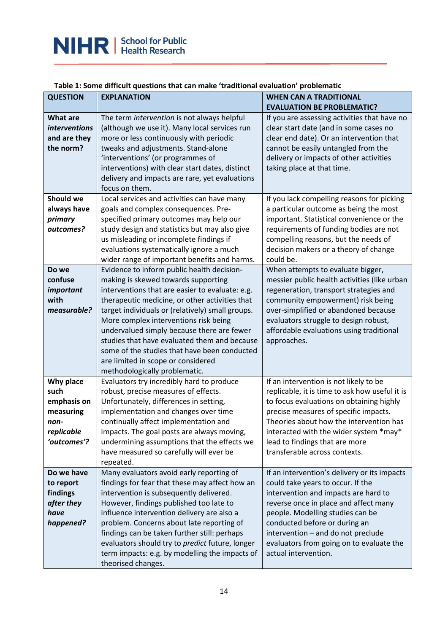# NIHR | School for Public

| <b>QUESTION</b>                                                                    | <b>EXPLANATION</b>                                                                                                                                                                                                                                                                                                                                                                                                                                                                                       | <b>WHEN CAN A TRADITIONAL</b>                                                                                                                                                                                                                                                                                                                     |
|------------------------------------------------------------------------------------|----------------------------------------------------------------------------------------------------------------------------------------------------------------------------------------------------------------------------------------------------------------------------------------------------------------------------------------------------------------------------------------------------------------------------------------------------------------------------------------------------------|---------------------------------------------------------------------------------------------------------------------------------------------------------------------------------------------------------------------------------------------------------------------------------------------------------------------------------------------------|
|                                                                                    |                                                                                                                                                                                                                                                                                                                                                                                                                                                                                                          | <b>EVALUATION BE PROBLEMATIC?</b>                                                                                                                                                                                                                                                                                                                 |
| <b>What are</b><br><i>interventions</i><br>and are they<br>the norm?               | The term intervention is not always helpful<br>(although we use it). Many local services run<br>more or less continuously with periodic<br>tweaks and adjustments. Stand-alone<br>'interventions' (or programmes of                                                                                                                                                                                                                                                                                      | If you are assessing activities that have no<br>clear start date (and in some cases no<br>clear end date). Or an intervention that<br>cannot be easily untangled from the<br>delivery or impacts of other activities                                                                                                                              |
|                                                                                    | interventions) with clear start dates, distinct<br>delivery and impacts are rare, yet evaluations<br>focus on them.                                                                                                                                                                                                                                                                                                                                                                                      | taking place at that time.                                                                                                                                                                                                                                                                                                                        |
| Should we<br>always have<br>primary<br>outcomes?                                   | Local services and activities can have many<br>goals and complex consequences. Pre-<br>specified primary outcomes may help our<br>study design and statistics but may also give<br>us misleading or incomplete findings if<br>evaluations systematically ignore a much<br>wider range of important benefits and harms.                                                                                                                                                                                   | If you lack compelling reasons for picking<br>a particular outcome as being the most<br>important. Statistical convenience or the<br>requirements of funding bodies are not<br>compelling reasons, but the needs of<br>decision makers or a theory of change<br>could be.                                                                         |
| Do we<br>confuse<br>important<br>with<br>measurable?                               | Evidence to inform public health decision-<br>making is skewed towards supporting<br>interventions that are easier to evaluate: e.g.<br>therapeutic medicine, or other activities that<br>target individuals or (relatively) small groups.<br>More complex interventions risk being<br>undervalued simply because there are fewer<br>studies that have evaluated them and because<br>some of the studies that have been conducted<br>are limited in scope or considered<br>methodologically problematic. | When attempts to evaluate bigger,<br>messier public health activities (like urban<br>regeneration, transport strategies and<br>community empowerment) risk being<br>over-simplified or abandoned because<br>evaluators struggle to design robust,<br>affordable evaluations using traditional<br>approaches.                                      |
| Why place<br>such<br>emphasis on<br>measuring<br>non-<br>replicable<br>'outcomes'? | Evaluators try incredibly hard to produce<br>robust, precise measures of effects.<br>Unfortunately, differences in setting,<br>implementation and changes over time<br>continually affect implementation and<br>impacts. The goal posts are always moving,<br>undermining assumptions that the effects we<br>have measured so carefully will ever be<br>repeated.                                                                                                                                        | If an intervention is not likely to be<br>replicable, it is time to ask how useful it is<br>to focus evaluations on obtaining highly<br>precise measures of specific impacts.<br>Theories about how the intervention has<br>interacted with the wider system *may*<br>lead to findings that are more<br>transferable across contexts.             |
| Do we have<br>to report<br>findings<br>after they<br>have<br>happened?             | Many evaluators avoid early reporting of<br>findings for fear that these may affect how an<br>intervention is subsequently delivered.<br>However, findings published too late to<br>influence intervention delivery are also a<br>problem. Concerns about late reporting of<br>findings can be taken further still: perhaps<br>evaluators should try to predict future, longer<br>term impacts: e.g. by modelling the impacts of<br>theorised changes.                                                   | If an intervention's delivery or its impacts<br>could take years to occur. If the<br>intervention and impacts are hard to<br>reverse once in place and affect many<br>people. Modelling studies can be<br>conducted before or during an<br>intervention - and do not preclude<br>evaluators from going on to evaluate the<br>actual intervention. |

#### **Table 1: Some difficult questions that can make 'traditional evaluation' problematic**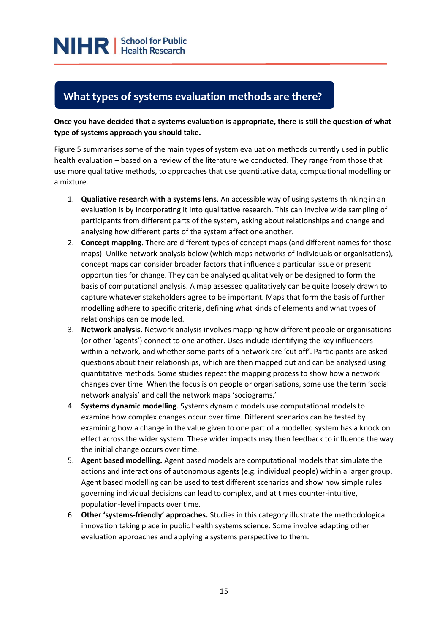

## **What types of systems evaluation methods are there?**

**Once you have decided that a systems evaluation is appropriate, there is still the question of what type of systems approach you should take.** 

Figure 5 summarises some of the main types of system evaluation methods currently used in public health evaluation – based on a review of the literature we conducted. They range from those that use more qualitative methods, to approaches that use quantitative data, compuational modelling or a mixture.

- 1. **Qualiative research with a systems lens**. An accessible way of using systems thinking in an evaluation is by incorporating it into qualitative research. This can involve wide sampling of participants from different parts of the system, asking about relationships and change and analysing how different parts of the system affect one another.
- 2. **Concept mapping.** There are different types of concept maps (and different names for those maps). Unlike network analysis below (which maps networks of individuals or organisations), concept maps can consider broader factors that influence a particular issue or present opportunities for change. They can be analysed qualitatively or be designed to form the basis of computational analysis. A map assessed qualitatively can be quite loosely drawn to capture whatever stakeholders agree to be important. Maps that form the basis of further modelling adhere to specific criteria, defining what kinds of elements and what types of relationships can be modelled.
- 3. **Network analysis.** Network analysis involves mapping how different people or organisations (or other 'agents') connect to one another. Uses include identifying the key influencers within a network, and whether some parts of a network are 'cut off'. Participants are asked questions about their relationships, which are then mapped out and can be analysed using quantitative methods. Some studies repeat the mapping process to show how a network changes over time. When the focus is on people or organisations, some use the term 'social network analysis' and call the network maps 'sociograms.'
- 4. **Systems dynamic modelling**. Systems dynamic models use computational models to examine how complex changes occur over time. Different scenarios can be tested by examining how a change in the value given to one part of a modelled system has a knock on effect across the wider system. These wider impacts may then feedback to influence the way the initial change occurs over time.
- 5. **Agent based modelling.** Agent based models are computational models that simulate the actions and interactions of autonomous agents (e.g. individual people) within a larger group. Agent based modelling can be used to test different scenarios and show how simple rules governing individual decisions can lead to complex, and at times counter-intuitive, population-level impacts over time.
- 6. **Other 'systems-friendly' approaches.** Studies in this category illustrate the methodological innovation taking place in public health systems science. Some involve adapting other evaluation approaches and applying a systems perspective to them.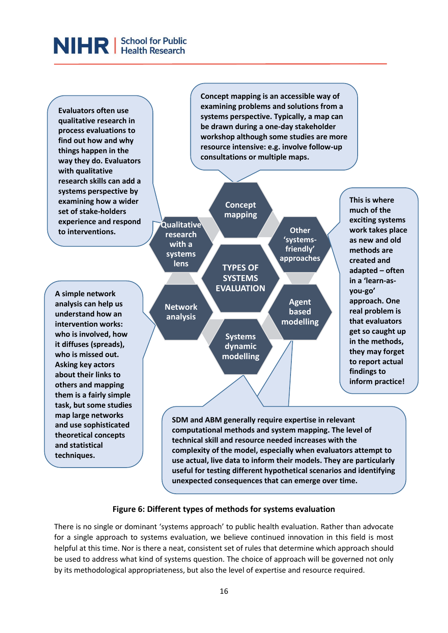# **NIHR** | School for Public

**Evaluators often use qualitative research in process evaluations to find out how and why things happen in the way they do. Evaluators with qualitative research skills can add a systems perspective by examining how a wider set of stake-holders experience and respond to interventions.** 

**A simple network analysis can help us understand how an intervention works:** 

**it diffuses (spreads), who is missed out. Asking key actors about their links to others and mapping** 

**map large networks and use sophisticated theoretical concepts** 

**and statistical techniques.**

**Concept mapping is an accessible way of examining problems and solutions from a systems perspective. Typically, a map can be drawn during a one-day stakeholder workshop although some studies are more resource intensive: e.g. involve follow-up consultations or multiple maps.** 



**This is where much of the exciting systems work takes place as new and old methods are created and adapted – often in a 'learn-asyou-go' approach. One real problem is that evaluators get so caught up in the methods, they may forget to report actual findings to inform practice!**

**SDM and ABM generally require expertise in relevant computational methods and system mapping. The level of technical skill and resource needed increases with the complexity of the model, especially when evaluators attempt to use actual, live data to inform their models. They are particularly useful for testing different hypothetical scenarios and identifying unexpected consequences that can emerge over time.**

#### **Figure 6: Different types of methods for systems evaluation**

There is no single or dominant 'systems approach' to public health evaluation. Rather than advocate for a single approach to systems evaluation, we believe continued innovation in this field is most helpful at this time. Nor is there a neat, consistent set of rules that determine which approach should be used to address what kind of systems question. The choice of approach will be governed not only by its methodological appropriateness, but also the level of expertise and resource required.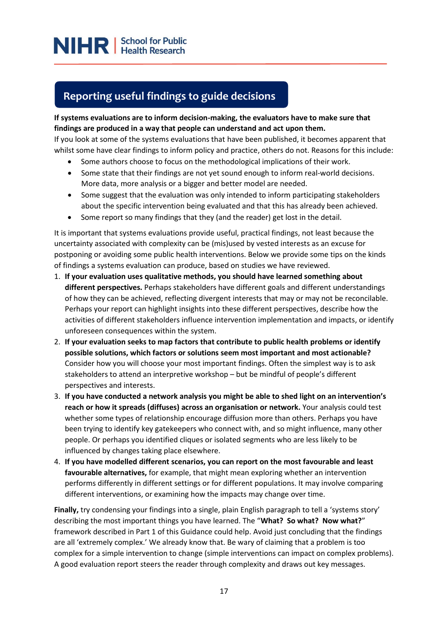

## **Reporting useful findings to guide decisions**

#### **If systems evaluations are to inform decision-making, the evaluators have to make sure that findings are produced in a way that people can understand and act upon them.**

If you look at some of the systems evaluations that have been published, it becomes apparent that whilst some have clear findings to inform policy and practice, others do not. Reasons for this include:

- Some authors choose to focus on the methodological implications of their work.
- Some state that their findings are not yet sound enough to inform real-world decisions. More data, more analysis or a bigger and better model are needed.
- Some suggest that the evaluation was only intended to inform participating stakeholders about the specific intervention being evaluated and that this has already been achieved.
- Some report so many findings that they (and the reader) get lost in the detail.

It is important that systems evaluations provide useful, practical findings, not least because the uncertainty associated with complexity can be (mis)used by vested interests as an excuse for postponing or avoiding some public health interventions. Below we provide some tips on the kinds of findings a systems evaluation can produce, based on studies we have reviewed.

- 1. **If your evaluation uses qualitative methods, you should have learned something about different perspectives.** Perhaps stakeholders have different goals and different understandings of how they can be achieved, reflecting divergent interests that may or may not be reconcilable. Perhaps your report can highlight insights into these different perspectives, describe how the activities of different stakeholders influence intervention implementation and impacts, or identify unforeseen consequences within the system.
- 2. **If your evaluation seeks to map factors that contribute to public health problems or identify possible solutions, which factors or solutions seem most important and most actionable?**  Consider how you will choose your most important findings. Often the simplest way is to ask stakeholders to attend an interpretive workshop – but be mindful of people's different perspectives and interests.
- 3. **If you have conducted a network analysis you might be able to shed light on an intervention's reach or how it spreads (diffuses) across an organisation or network.** Your analysis could test whether some types of relationship encourage diffusion more than others. Perhaps you have been trying to identify key gatekeepers who connect with, and so might influence, many other people. Or perhaps you identified cliques or isolated segments who are less likely to be influenced by changes taking place elsewhere.
- 4. **If you have modelled different scenarios, you can report on the most favourable and least favourable alternatives,** for example, that might mean exploring whether an intervention performs differently in different settings or for different populations. It may involve comparing different interventions, or examining how the impacts may change over time.

**Finally,** try condensing your findings into a single, plain English paragraph to tell a 'systems story' describing the most important things you have learned. The "**What? So what? Now what?**" framework described in Part 1 of this Guidance could help. Avoid just concluding that the findings are all 'extremely complex.' We already know that. Be wary of claiming that a problem is too complex for a simple intervention to change (simple interventions can impact on complex problems). A good evaluation report steers the reader through complexity and draws out key messages.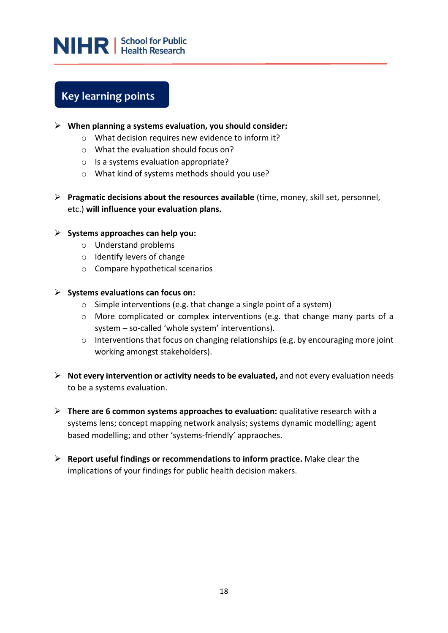

## **Key learning points**

- **When planning a systems evaluation, you should consider:**
	- o What decision requires new evidence to inform it?
	- o What the evaluation should focus on?
	- o Is a systems evaluation appropriate?
	- o What kind of systems methods should you use?
- **Pragmatic decisions about the resources available** (time, money, skill set, personnel, etc.) **will influence your evaluation plans.**

#### **Systems approaches can help you:**

- o Understand problems
- o Identify levers of change
- o Compare hypothetical scenarios

#### **Systems evaluations can focus on:**

- o Simple interventions (e.g. that change a single point of a system)
- o More complicated or complex interventions (e.g. that change many parts of a system – so-called 'whole system' interventions).
- $\circ$  Interventions that focus on changing relationships (e.g. by encouraging more joint working amongst stakeholders).
- **Not every intervention or activity needs to be evaluated,** and not every evaluation needs to be a systems evaluation.
- **There are 6 common systems approaches to evaluation:** qualitative research with a systems lens; concept mapping network analysis; systems dynamic modelling; agent based modelling; and other 'systems-friendly' appraoches.
- **Report useful findings or recommendations to inform practice.** Make clear the implications of your findings for public health decision makers.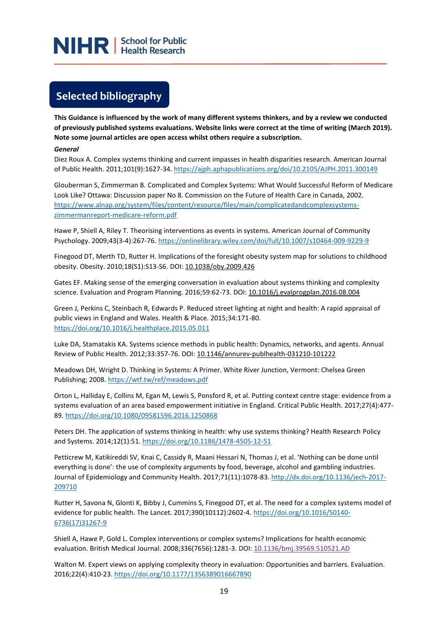

## **Selected bibliography**

**This Guidance is influenced by the work of many different systems thinkers, and by a review we conducted of previously published systems evaluations. Website links were correct at the time of writing (March 2019). Note some journal articles are open access whilst others require a subscription.**

#### *General*

Diez Roux A. Complex systems thinking and current impasses in health disparities research. American Journal of Public Health. 2011;101(9):1627-34.<https://ajph.aphapublications.org/doi/10.2105/AJPH.2011.300149>

Glouberman S, Zimmerman B. Complicated and Complex Systems: What Would Successful Reform of Medicare Look Like? Ottawa: Discussion paper No 8. Commission on the Future of Health Care in Canada, 2002. [https://www.alnap.org/system/files/content/resource/files/main/complicatedandcomplexsystems](https://www.alnap.org/system/files/content/resource/files/main/complicatedandcomplexsystems-zimmermanreport-medicare-reform.pdf)[zimmermanreport-medicare-reform.pdf](https://www.alnap.org/system/files/content/resource/files/main/complicatedandcomplexsystems-zimmermanreport-medicare-reform.pdf)

Hawe P, Shiell A, Riley T. Theorising interventions as events in systems. American Journal of Community Psychology. 2009;43(3-4):267-76. <https://onlinelibrary.wiley.com/doi/full/10.1007/s10464-009-9229-9>

Finegood DT, Merth TD, Rutter H. Implications of the foresight obesity system map for solutions to childhood obesity. Obesity. 2010;18(S1):S13-S6. DOI: [10.1038/oby.2009.426](https://doi.org/10.1038/oby.2009.426)

Gates EF. Making sense of the emerging conversation in evaluation about systems thinking and complexity science. Evaluation and Program Planning. 2016;59:62-73. DOI[: 10.1016/j.evalprogplan.2016.08.004](https://doi.org/10.1016/j.evalprogplan.2016.08.004)

Green J, Perkins C, Steinbach R, Edwards P. Reduced street lighting at night and health: A rapid appraisal of public views in England and Wales. Health & Place. 2015;34:171-80. <https://doi.org/10.1016/j.healthplace.2015.05.011>

Luke DA, Stamatakis KA. Systems science methods in public health: Dynamics, networks, and agents. Annual Review of Public Health. 2012;33:357-76. DOI: [10.1146/annurev-publhealth-031210-101222](https://doi.org/10.1146/annurev-publhealth-031210-101222)

Meadows DH, Wright D. Thinking in Systems: A Primer. White River Junction, Vermont: Chelsea Green Publishing; 2008[. https://wtf.tw/ref/meadows.pdf](https://wtf.tw/ref/meadows.pdf)

Orton L, Halliday E, Collins M, Egan M, Lewis S, Ponsford R, et al. Putting context centre stage: evidence from a systems evaluation of an area based empowerment initiative in England. Critical Public Health. 2017;27(4):477- 89.<https://doi.org/10.1080/09581596.2016.1250868>

Peters DH. The application of systems thinking in health: why use systems thinking? Health Research Policy and Systems. 2014;12(1):51[. https://doi.org/10.1186/1478-4505-12-51](https://doi.org/10.1186/1478-4505-12-51)

Petticrew M, Katikireddi SV, Knai C, Cassidy R, Maani Hessari N, Thomas J, et al. 'Nothing can be done until everything is done': the use of complexity arguments by food, beverage, alcohol and gambling industries. Journal of Epidemiology and Community Health. 2017;71(11):1078-83[. http://dx.doi.org/10.1136/jech-2017-](http://dx.doi.org/10.1136/jech-2017-209710) [209710](http://dx.doi.org/10.1136/jech-2017-209710)

Rutter H, Savona N, Glonti K, Bibby J, Cummins S, Finegood DT, et al. The need for a complex systems model of evidence for public health. The Lancet. 2017;390(10112):2602-4. [https://doi.org/10.1016/S0140-](https://doi.org/10.1016/S0140-6736(17)31267-9) [6736\(17\)31267-9](https://doi.org/10.1016/S0140-6736(17)31267-9)

Shiell A, Hawe P, Gold L. Complex interventions or complex systems? Implications for health economic evaluation. British Medical Journal. 2008;336(7656):1281-3. DOI: [10.1136/bmj.39569.510521.AD](https://dx.doi.org/10.1136%2Fbmj.39569.510521.AD)

Walton M. Expert views on applying complexity theory in evaluation: Opportunities and barriers. Evaluation. 2016;22(4):410-23.<https://doi.org/10.1177/1356389016667890>